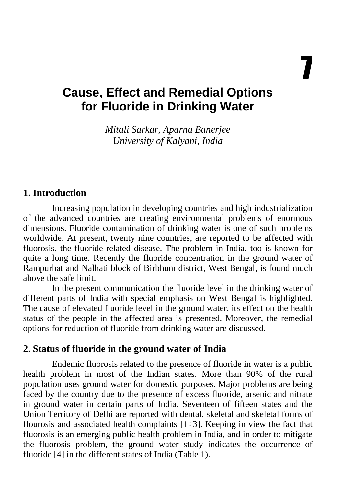# **Cause, Effect and Remedial Options for Fluoride in Drinking Water**

*Mitali Sarkar, Aparna Banerjee University of Kalyani, India* 

## **1. Introduction**

Increasing population in developing countries and high industrialization of the advanced countries are creating environmental problems of enormous dimensions. Fluoride contamination of drinking water is one of such problems worldwide. At present, twenty nine countries, are reported to be affected with fluorosis, the fluoride related disease. The problem in India, too is known for quite a long time. Recently the fluoride concentration in the ground water of Rampurhat and Nalhati block of Birbhum district, West Bengal, is found much above the safe limit.

In the present communication the fluoride level in the drinking water of different parts of India with special emphasis on West Bengal is highlighted. The cause of elevated fluoride level in the ground water, its effect on the health status of the people in the affected area is presented. Moreover, the remedial options for reduction of fluoride from drinking water are discussed.

### **2. Status of fluoride in the ground water of India**

Endemic fluorosis related to the presence of fluoride in water is a public health problem in most of the Indian states. More than 90% of the rural population uses ground water for domestic purposes. Major problems are being faced by the country due to the presence of excess fluoride, arsenic and nitrate in ground water in certain parts of India. Seventeen of fifteen states and the Union Territory of Delhi are reported with dental, skeletal and skeletal forms of flourosis and associated health complaints  $[1\div 3]$ . Keeping in view the fact that fluorosis is an emerging public health problem in India, and in order to mitigate the fluorosis problem, the ground water study indicates the occurrence of fluoride [4] in the different states of India (Table 1).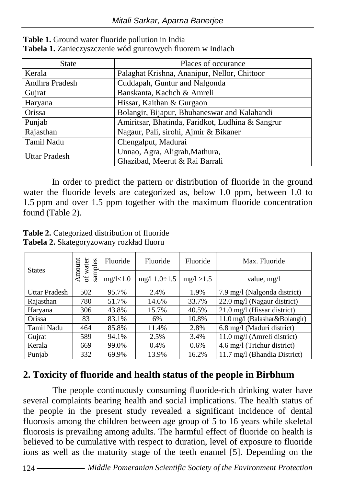| <b>State</b>   | Places of occurance                              |  |  |
|----------------|--------------------------------------------------|--|--|
| Kerala         | Palaghat Krishna, Ananipur, Nellor, Chittoor     |  |  |
| Andhra Pradesh | Cuddapah, Guntur and Nalgonda                    |  |  |
| Gujrat         | Banskanta, Kachch & Amreli                       |  |  |
| Haryana        | Hissar, Kaithan & Gurgaon                        |  |  |
| Orissa         | Bolangir, Bijapur, Bhubaneswar and Kalahandi     |  |  |
| Punjab         | Amiritsar, Bhatinda, Faridkot, Ludhina & Sangrur |  |  |
| Rajasthan      | Nagaur, Pali, sirohi, Ajmir & Bikaner            |  |  |
| Tamil Nadu     | Chengalput, Madurai                              |  |  |
| Uttar Pradesh  | Unnao, Agra, Aligrah, Mathura,                   |  |  |
|                | Ghazibad, Meerut & Rai Barrali                   |  |  |

**Table 1.** Ground water fluoride pollution in India **Tabela 1.** Zanieczyszczenie wód gruntowych fluorem w Indiach

In order to predict the pattern or distribution of fluoride in the ground water the fluoride levels are categorized as, below 1.0 ppm, between 1.0 to 1.5 ppm and over 1.5 ppm together with the maximum fluoride concentration found (Table 2).

**Table 2.** Categorized distribution of fluoride **Tabela 2.** Skategoryzowany rozkład fluoru

| <b>States</b>        | Amount<br>of water<br>samples | Fluoride   | Fluoride            | Fluoride   | Max. Fluoride                 |
|----------------------|-------------------------------|------------|---------------------|------------|-------------------------------|
|                      |                               | mg/l < 1.0 | mg/l $1.0 \div 1.5$ | mg/l > 1.5 | value, mg/l                   |
| <b>Uttar Pradesh</b> | 502                           | 95.7%      | 2.4%                | 1.9%       | 7.9 mg/l (Nalgonda district)  |
| Rajasthan            | 780                           | 51.7%      | 14.6%               | 33.7%      | 22.0 mg/l (Nagaur district)   |
| Haryana              | 306                           | 43.8%      | 15.7%               | 40.5%      | 21.0 mg/l (Hissar district)   |
| Orissa               | 83                            | 83.1%      | 6%                  | 10.8%      | 11.0 mg/l (Balashar&Bolangir) |
| Tamil Nadu           | 464                           | 85.8%      | 11.4%               | 2.8%       | 6.8 mg/l (Maduri district)    |
| Gujrat               | 589                           | 94.1%      | 2.5%                | 3.4%       | 11.0 mg/l (Amreli district)   |
| Kerala               | 669                           | 99.0%      | 0.4%                | $0.6\%$    | 4.6 mg/l (Trichur district)   |
| Punjab               | 332                           | 69.9%      | 13.9%               | 16.2%      | 11.7 mg/l (Bhandia District)  |

# **2. Toxicity of fluoride and health status of the people in Birbhum**

The people continuously consuming fluoride-rich drinking water have several complaints bearing health and social implications. The health status of the people in the present study revealed a significant incidence of dental fluorosis among the children between age group of 5 to 16 years while skeletal fluorosis is prevailing among adults. The harmful effect of fluoride on health is believed to be cumulative with respect to duration, level of exposure to fluoride ions as well as the maturity stage of the teeth enamel [5]. Depending on the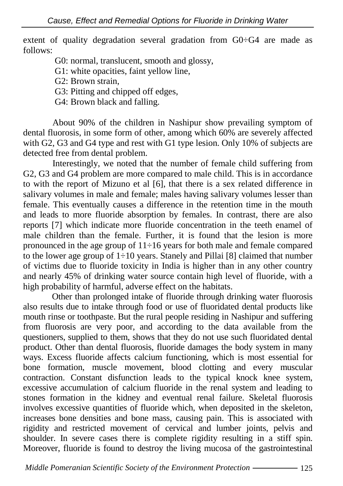extent of quality degradation several gradation from G0÷G4 are made as follows:

G0: normal, translucent, smooth and glossy,

G1: white opacities, faint yellow line,

G2: Brown strain,

G3: Pitting and chipped off edges,

G4: Brown black and falling.

About 90% of the children in Nashipur show prevailing symptom of dental fluorosis, in some form of other, among which 60% are severely affected with G2, G3 and G4 type and rest with G1 type lesion. Only 10% of subjects are detected free from dental problem.

Interestingly, we noted that the number of female child suffering from G2, G3 and G4 problem are more compared to male child. This is in accordance to with the report of Mizuno et al [6], that there is a sex related difference in salivary volumes in male and female; males having salivary volumes lesser than female. This eventually causes a difference in the retention time in the mouth and leads to more fluoride absorption by females. In contrast, there are also reports [7] which indicate more fluoride concentration in the teeth enamel of male children than the female. Further, it is found that the lesion is more pronounced in the age group of 11÷16 years for both male and female compared to the lower age group of  $1\div 10$  years. Stanely and Pillai [8] claimed that number of victims due to fluoride toxicity in India is higher than in any other country and nearly 45% of drinking water source contain high level of fluoride, with a high probability of harmful, adverse effect on the habitats.

Other than prolonged intake of fluoride through drinking water fluorosis also results due to intake through food or use of fluoridated dental products like mouth rinse or toothpaste. But the rural people residing in Nashipur and suffering from fluorosis are very poor, and according to the data available from the questioners, supplied to them, shows that they do not use such fluoridated dental product. Other than dental fluorosis, fluoride damages the body system in many ways. Excess fluoride affects calcium functioning, which is most essential for bone formation, muscle movement, blood clotting and every muscular contraction. Constant disfunction leads to the typical knock knee system, excessive accumulation of calcium fluoride in the renal system and leading to stones formation in the kidney and eventual renal failure. Skeletal fluorosis involves excessive quantities of fluoride which, when deposited in the skeleton, increases bone densities and bone mass, causing pain. This is associated with rigidity and restricted movement of cervical and lumber joints, pelvis and shoulder. In severe cases there is complete rigidity resulting in a stiff spin. Moreover, fluoride is found to destroy the living mucosa of the gastrointestinal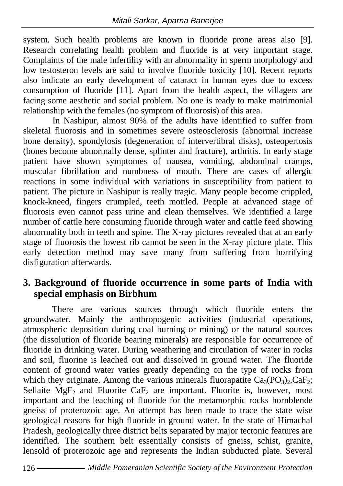system. Such health problems are known in fluoride prone areas also [9]. Research correlating health problem and fluoride is at very important stage. Complaints of the male infertility with an abnormality in sperm morphology and low testosteron levels are said to involve fluoride toxicity [10]. Recent reports also indicate an early development of cataract in human eyes due to excess consumption of fluoride [11]. Apart from the health aspect, the villagers are facing some aesthetic and social problem. No one is ready to make matrimonial relationship with the females (no symptom of fluorosis) of this area.

In Nashipur, almost 90% of the adults have identified to suffer from skeletal fluorosis and in sometimes severe osteosclerosis (abnormal increase bone density), spondylosis (degeneration of intervertibral disks), osteopertosis (bones become abnormally dense, splinter and fracture), arthritis. In early stage patient have shown symptomes of nausea, vomiting, abdominal cramps, muscular fibrillation and numbness of mouth. There are cases of allergic reactions in some individual with variations in susceptibility from patient to patient. The picture in Nashipur is really tragic. Many people become crippled, knock-kneed, fingers crumpled, teeth mottled. People at advanced stage of fluorosis even cannot pass urine and clean themselves. We identified a large number of cattle here consuming fluoride through water and cattle feed showing abnormality both in teeth and spine. The X-ray pictures revealed that at an early stage of fluorosis the lowest rib cannot be seen in the X-ray picture plate. This early detection method may save many from suffering from horrifying disfiguration afterwards.

## **3. Background of fluoride occurrence in some parts of India with special emphasis on Birbhum**

There are various sources through which fluoride enters the groundwater. Mainly the anthropogenic activities (industrial operations, atmospheric deposition during coal burning or mining) or the natural sources (the dissolution of fluoride bearing minerals) are responsible for occurrence of fluoride in drinking water. During weathering and circulation of water in rocks and soil, fluorine is leached out and dissolved in ground water. The fluoride content of ground water varies greatly depending on the type of rocks from which they originate. Among the various minerals fluorapatite  $Ca_3(PO_3)_2, CaF_2$ ; Sellaite  $MgF_2$  and Fluorite  $CaF_2$  are important. Fluorite is, however, most important and the leaching of fluoride for the metamorphic rocks hornblende gneiss of proterozoic age. An attempt has been made to trace the state wise geological reasons for high fluoride in ground water. In the state of Himachal Pradesh, geologically three district belts separated by major tectonic features are identified. The southern belt essentially consists of gneiss, schist, granite, lensold of proterozoic age and represents the Indian subducted plate. Several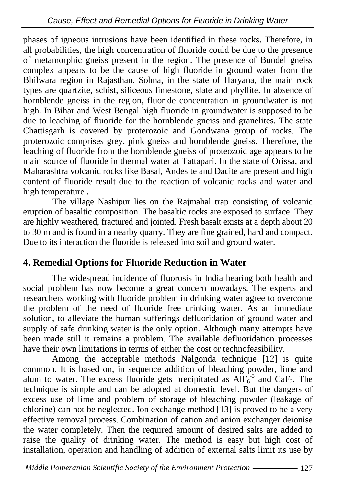phases of igneous intrusions have been identified in these rocks. Therefore, in all probabilities, the high concentration of fluoride could be due to the presence of metamorphic gneiss present in the region. The presence of Bundel gneiss complex appears to be the cause of high fluoride in ground water from the Bhilwara region in Rajasthan. Sohna, in the state of Haryana, the main rock types are quartzite, schist, siliceous limestone, slate and phyllite. In absence of hornblende gneiss in the region, fluoride concentration in groundwater is not high. In Bihar and West Bengal high fluoride in groundwater is supposed to be due to leaching of fluoride for the hornblende gneiss and granelites. The state Chattisgarh is covered by proterozoic and Gondwana group of rocks. The proterozoic comprises grey, pink gneiss and hornblende gneiss. Therefore, the leaching of fluoride from the hornblende gneiss of proteozoic age appears to be main source of fluoride in thermal water at Tattapari. In the state of Orissa, and Maharashtra volcanic rocks like Basal, Andesite and Dacite are present and high content of fluoride result due to the reaction of volcanic rocks and water and high temperature .

 The village Nashipur lies on the Rajmahal trap consisting of volcanic eruption of basaltic composition. The basaltic rocks are exposed to surface. They are highly weathered, fractured and jointed. Fresh basalt exists at a depth about 20 to 30 m and is found in a nearby quarry. They are fine grained, hard and compact. Due to its interaction the fluoride is released into soil and ground water.

# **4. Remedial Options for Fluoride Reduction in Water**

The widespread incidence of fluorosis in India bearing both health and social problem has now become a great concern nowadays. The experts and researchers working with fluoride problem in drinking water agree to overcome the problem of the need of fluoride free drinking water. As an immediate solution, to alleviate the human sufferings defluoridation of ground water and supply of safe drinking water is the only option. Although many attempts have been made still it remains a problem. The available defluoridation processes have their own limitations in terms of either the cost or technofeasibility.

Among the acceptable methods Nalgonda technique [12] is quite common. It is based on, in sequence addition of bleaching powder, lime and alum to water. The excess fluoride gets precipitated as  $\overrightarrow{AIF_6}^3$  and  $\overrightarrow{CaF_2}$ . The technique is simple and can be adopted at domestic level. But the dangers of excess use of lime and problem of storage of bleaching powder (leakage of chlorine) can not be neglected. Ion exchange method [13] is proved to be a very effective removal process. Combination of cation and anion exchanger deionise the water completely. Then the required amount of desired salts are added to raise the quality of drinking water. The method is easy but high cost of installation, operation and handling of addition of external salts limit its use by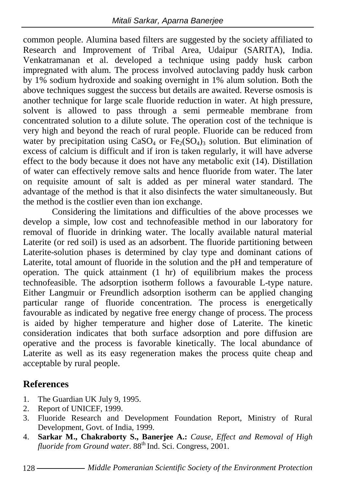common people. Alumina based filters are suggested by the society affiliated to Research and Improvement of Tribal Area, Udaipur (SARITA), India. Venkatramanan et al. developed a technique using paddy husk carbon impregnated with alum. The process involved autoclaving paddy husk carbon by 1% sodium hydroxide and soaking overnight in 1% alum solution. Both the above techniques suggest the success but details are awaited. Reverse osmosis is another technique for large scale fluoride reduction in water. At high pressure, solvent is allowed to pass through a semi permeable membrane from concentrated solution to a dilute solute. The operation cost of the technique is very high and beyond the reach of rural people. Fluoride can be reduced from water by precipitation using  $CaSO_4$  or  $Fe_2(SO_4)$ <sub>3</sub> solution. But elimination of excess of calcium is difficult and if iron is taken regularly, it will have adverse effect to the body because it does not have any metabolic exit (14). Distillation of water can effectively remove salts and hence fluoride from water. The later on requisite amount of salt is added as per mineral water standard. The advantage of the method is that it also disinfects the water simultaneously. But the method is the costlier even than ion exchange.

Considering the limitations and difficulties of the above processes we develop a simple, low cost and technofeasible method in our laboratory for removal of fluoride in drinking water. The locally available natural material Laterite (or red soil) is used as an adsorbent. The fluoride partitioning between Laterite-solution phases is determined by clay type and dominant cations of Laterite, total amount of fluoride in the solution and the pH and temperature of operation. The quick attainment (1 hr) of equilibrium makes the process technofeasible. The adsorption isotherm follows a favourable L-type nature. Either Langmuir or Freundlich adsorption isotherm can be applied changing particular range of fluoride concentration. The process is energetically favourable as indicated by negative free energy change of process. The process is aided by higher temperature and higher dose of Laterite. The kinetic consideration indicates that both surface adsorption and pore diffusion are operative and the process is favorable kinetically. The local abundance of Laterite as well as its easy regeneration makes the process quite cheap and acceptable by rural people.

# **References**

- 1. The Guardian UK July 9, 1995.
- 2. Report of UNICEF, 1999.
- 3. Fluoride Research and Development Foundation Report, Ministry of Rural Development, Govt. of India, 1999.
- 4. **Sarkar M., Chakraborty S., Banerjee A.:** *Cause, Effect and Removal of High fluoride from Ground water.* 88th Ind. Sci. Congress, 2001.